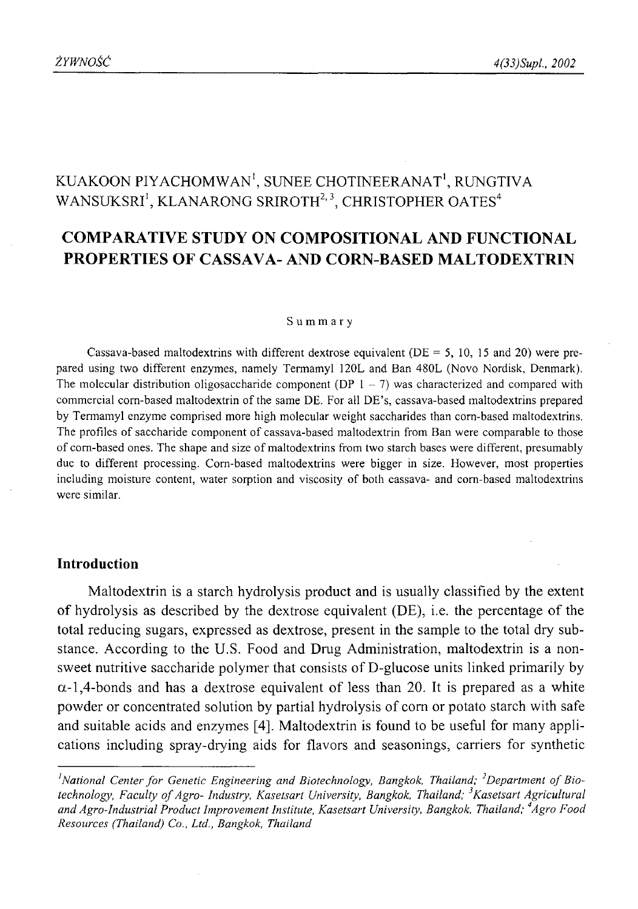# KUAKOON PIYACHOMWAN<sup>1</sup>, SUNEE CHOTINEERANAT<sup>1</sup>, RUNGTIVA WANSUKSRI<sup>1</sup>, KLANARONG SRIROTH<sup>2, 3</sup>, CHRISTOPHER OATES<sup>4</sup>

## **COMPARATIVE STUDY ON COMPOSITIONAL AND FUNCTIONAL PROPERTIES OF CASSAVA- AND CORN-BASED MALTODEXTRIN**

#### **Summary**

Cassava-based maltodextrins with different dextrose equivalent ( $DE = 5$ , 10, 15 and 20) were prepared using two different enzymes, namely Termamyl 120L and Ban 480L (Novo Nordisk, Denmark). The molecular distribution oligosaccharide component (DP  $1 - 7$ ) was characterized and compared with commercial corn-based maltodextrin of the same DE. For all DE's, cassava-based maltodextrins prepared by Termamyl enzyme comprised more high molecular weight saccharides than corn-based maltodextrins. The profiles of saccharide component of cassava-based maltodextrin from Ban were comparable to those of corn-based ones. The shape and size of maltodextrins from two starch bases were different, presumably due to different processing. Corn-based maltodextrins were bigger in size. However, most properties including moisture content, water sorption and viscosity of both cassava- and corn-based maltodextrins were similar.

### **Introduction**

Maltodextrin is a starch hydrolysis product and is usually classified by the extent of hydrolysis as described by the dextrose equivalent (DE), i.e. the percentage of the total reducing sugars, expressed as dextrose, present in the sample to the total dry substance. According to the U.S. Food and Drug Administration, maltodextrin is a nonsweet nutritive saccharide polymer that consists of D-glucose units linked primarily by  $\alpha$ -1,4-bonds and has a dextrose equivalent of less than 20. It is prepared as a white powder or concentrated solution by partial hydrolysis of com or potato starch with safe and suitable acids and enzymes [4]. Maltodextrin is found to be useful for many applications including spray-drying aids for flavors and seasonings, carriers for synthetic

<sup>&</sup>lt;sup>1</sup> National Center for Genetic Engineering and Biotechnology, Bangkok, Thailand; <sup>2</sup>Department of Biotechnology, Faculty of Agro- Industry, Kasetsart University, Bangkok, Thailand; <sup>3</sup>Kasetsart Agricultural *and Agro-Industrial Product Improvement Institute, Kasetsart University, Bangkok, Thailand; 4Agro Food Resources (Thailand) Co., Ltd., Bangkok, Thailand*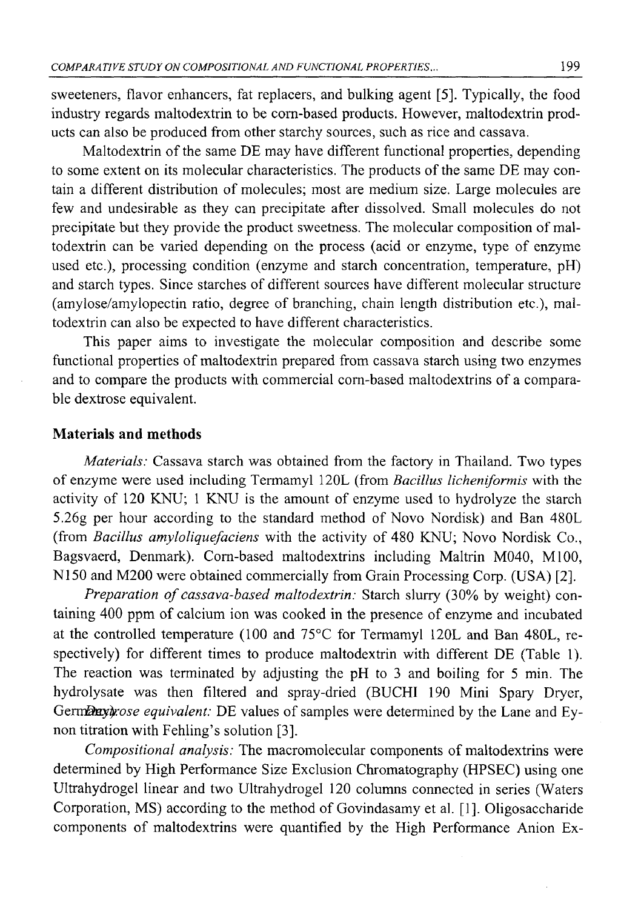sweeteners, flavor enhancers, fat replacers, and bulking agent [5]. Typically, the food industry regards maltodextrin to be corn-based products. However, maltodextrin products can also be produced from other starchy sources, such as rice and cassava.

Maltodextrin of the same DE may have different functional properties, depending to some extent on its molecular characteristics. The products of the same DE may contain a different distribution of molecules; most are medium size. Large molecules are few and undesirable as they can precipitate after dissolved. Small molecules do not precipitate but they provide the product sweetness. The molecular composition of maltodextrin can be varied depending on the process (acid or enzyme, type of enzyme used etc.), processing condition (enzyme and starch concentration, temperature, pH) and starch types. Since starches of different sources have different molecular structure (amylose/amylopectin ratio, degree of branching, chain length distribution etc.), maltodextrin can also be expected to have different characteristics.

This paper aims to investigate the molecular composition and describe some functional properties of maltodextrin prepared from cassava starch using two enzymes and to compare the products with commercial corn-based maltodextrins of a comparable dextrose equivalent.

## **Materials and methods**

*Materials:* Cassava starch was obtained from the factory in Thailand. Two types of enzyme were used including Termamyl 120L (from *Bacillus licheniformis* with the activity of 120 KNU; 1 KNU is the amount of enzyme used to hydrolyze the starch 5.26g per hour according to the standard method of Novo Nordisk) and Ban 480L (from *Bacillus amyloliquefaciens* with the activity of 480 KNU; Novo Nordisk Co., Bagsvaerd, Denmark). Corn-based maltodextrins including Maltrin M040, M100, N150 and M200 were obtained commercially from Grain Processing Corp. (USA) [2].

*Preparation of cassava-based maltodextrin:* Starch slurry (30% by weight) containing 400 ppm of calcium ion was cooked in the presence of enzyme and incubated at the controlled temperature (100 and 75°C for Termamyl 120L and Ban 480L, respectively) for different times to produce maltodextrin with different DE (Table 1). The reaction was terminated by adjusting the pH to 3 and boiling for 5 min. The hydrolysate was then filtered and spray-dried (BUCHI 190 Mini Spary Dryer, Germany and *Ey-* Germany ose *equivalent:* DE values of samples were determined by the Lane and Eynon titration with Fehling's solution [3].

*Compositional analysis:* The macromolecular components of maltodextrins were determined by High Performance Size Exclusion Chromatography (HPSEC) using one Ultrahydrogel linear and two Ultrahydrogel 120 columns connected in series (Waters Corporation, MS) according to the method of Govindasamy et al. [1], Oligosaccharide components of maltodextrins were quantified by the High Performance Anion Ex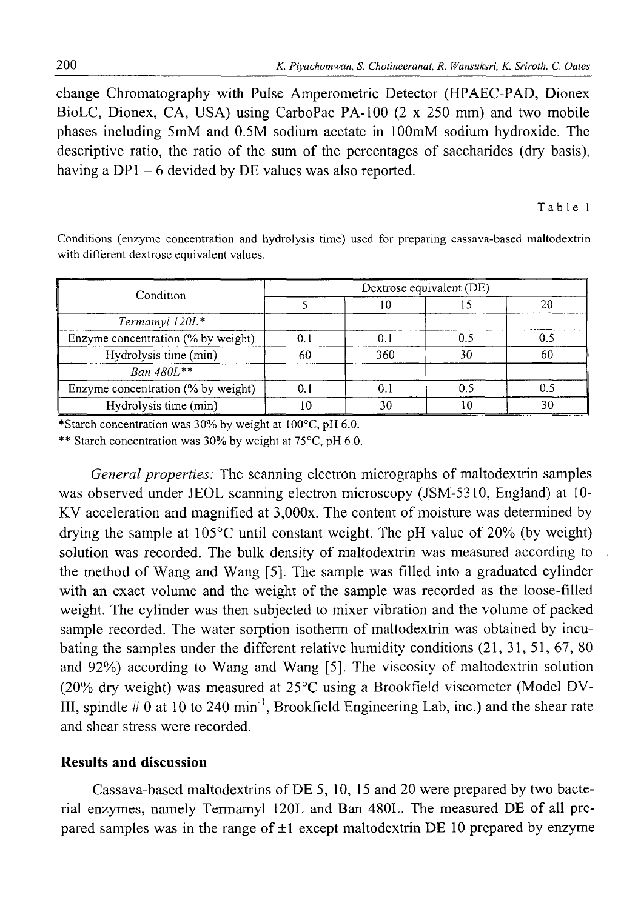change Chromatography with Pulse Amperometric Detector (HPAEC-PAD, Dionex BioLC, Dionex, CA, USA) using CarboPac PA -100 (2 x 250 mm) and two mobile phases including 5mM and 0.5M sodium acetate in lOOmM sodium hydroxide. The descriptive ratio, the ratio of the sum of the percentages of saccharides (dry basis), having a  $DP1 - 6$  devided by  $DE$  values was also reported.

Table 1

Conditions (enzyme concentration and hydrolysis time) used for preparing cassava-based maltodextrin with different dextrose equivalent values.

| Condition                          | Dextrose equivalent (DE) |      |    |    |  |
|------------------------------------|--------------------------|------|----|----|--|
|                                    |                          | ιU   |    |    |  |
| Termamyl 120L*                     |                          |      |    |    |  |
| Enzyme concentration (% by weight) | 0.                       | 0. . |    |    |  |
| Hydrolysis time (min)              | 60                       | 360  | 30 | 60 |  |
| $Ban 480L$ **                      |                          |      |    |    |  |
| Enzyme concentration (% by weight) |                          |      |    |    |  |
| Hydrolysis time (min)              |                          | 30   |    | 30 |  |

\*Starch concentration was 30% by weight at 100°C, pH 6.0.

\*\* Starch concentration was 30% by weight at 75°C, pH 6.0.

*General properties:* The scanning electron micrographs of maltodextrin samples was observed under JEOL scanning electron microscopy (JSM-5310, England) at 10- KV acceleration and magnified at 3,000x. The content of moisture was determined by drying the sample at  $105^{\circ}$ C until constant weight. The pH value of 20% (by weight) solution was recorded. The bulk density of maltodextrin was measured according to the method of Wang and Wang [5]. The sample was filled into a graduated cylinder with an exact volume and the weight of the sample was recorded as the loose-filled weight. The cylinder was then subjected to mixer vibration and the volume of packed sample recorded. The water sorption isotherm of maltodextrin was obtained by incubating the samples under the different relative humidity conditions (21, 31, 51, 67, 80 and 92%) according to Wang and Wang [5]. The viscosity of maltodextrin solution (20% dry weight) was measured at 25°C using a Brookfield viscometer (Model DV-III, spindle  $\#0$  at 10 to 240 min<sup>-1</sup>, Brookfield Engineering Lab, inc.) and the shear rate and shear stress were recorded.

#### **Results and discussion**

Cassava-based maltodextrins of DE 5, 10, 15 and 20 were prepared by two bacterial enzymes, namely Termamyl 120L and Ban 480L. The measured DE of all prepared samples was in the range of  $\pm 1$  except maltodextrin DE 10 prepared by enzyme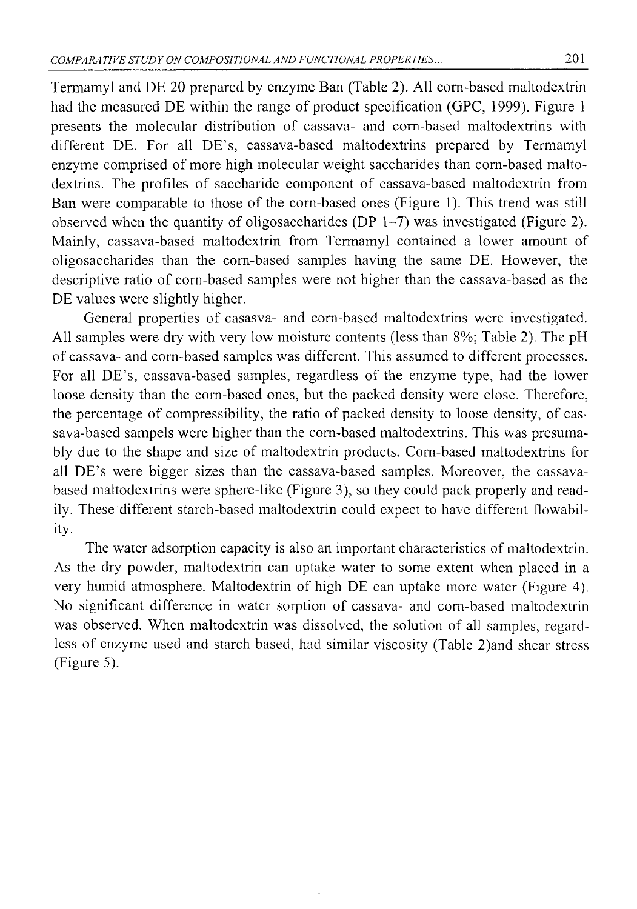Termamyl and DE 20 prepared by enzyme Ban (Table 2). All corn-based maltodextrin had the measured DE within the range of product specification (GPC, 1999). Figure 1 presents the molecular distribution of cassava- and corn-based maltodextrins with different DE. For all DE's, cassava-based maltodextrins prepared by Termamyl enzyme comprised of more high molecular weight saccharides than corn-based maltodextrins. The profiles of saccharide component of cassava-based maltodextrin from Ban were comparable to those of the corn-based ones (Figure 1). This trend was still observed when the quantity of oligosaccharides (DP  $1-7$ ) was investigated (Figure 2). Mainly, cassava-based maltodextrin from Termamyl contained a lower amount of oligosaccharides than the corn-based samples having the same DE. However, the descriptive ratio of corn-based samples were not higher than the cassava-based as the DE values were slightly higher.

General properties of casasva- and corn-based maltodextrins were investigated. All samples were dry with very low moisture contents (less than 8%; Table 2). The pH of cassava- and corn-based samples was different. This assumed to different processes. For all DE's, cassava-based samples, regardless of the enzyme type, had the lower loose density than the corn-based ones, but the packed density were close. Therefore, the percentage of compressibility, the ratio of packed density to loose density, of cassava-based sampels were higher than the corn-based maltodextrins. This was presumably due to the shape and size of maltodextrin products. Corn-based maltodextrins for all DE's were bigger sizes than the cassava-based samples. Moreover, the cassavabased maltodextrins were sphere-like (Figure 3), so they could pack properly and readily. These different starch-based maltodextrin could expect to have different flowability.

The water adsorption capacity is also an important characteristics of maltodextrin. As the dry powder, maltodextrin can uptake water to some extent when placed in a very humid atmosphere. Maltodextrin of high DE can uptake more water (Figure 4). No significant difference in water sorption of cassava- and corn-based maltodextrin was observed. When maltodextrin was dissolved, the solution of all samples, regardless of enzyme used and starch based, had similar viscosity (Table 2)and shear stress (Figure 5).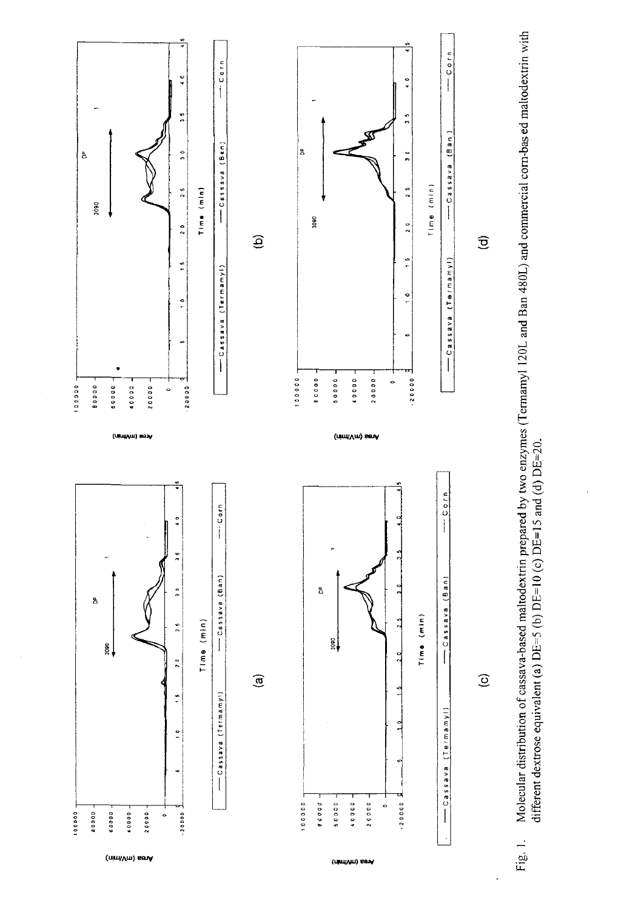

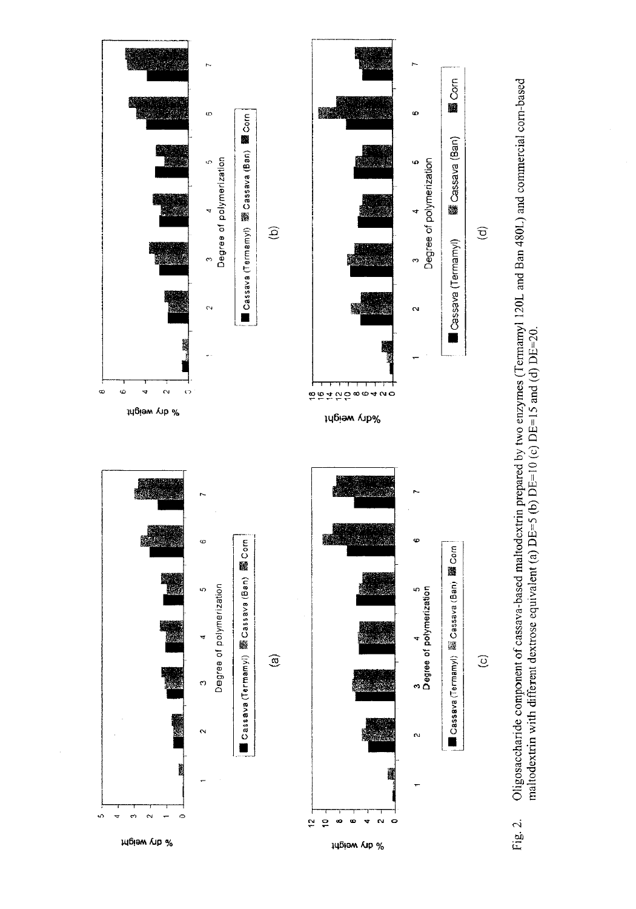

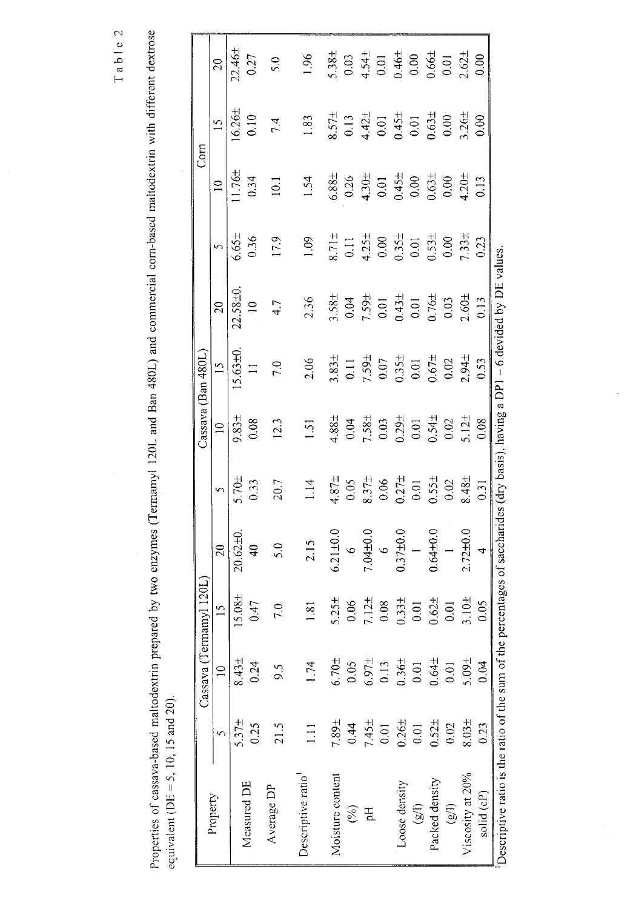Table 2

Properties of cassava-based maltodextrin prepared by two enzymes (Termamyl 120L and Ban 480L) and commercial com-based maltodextrin with different dextrose equivalent ( $DE = 5$ , 10, 15 and 20).

|                                                  |                   | Cassava (Tei      | $m$ amyl $120L$    |                                         |                   |                   | Cassava (Ban 480L |                                              |                   | Com               |                    |                                                                               |
|--------------------------------------------------|-------------------|-------------------|--------------------|-----------------------------------------|-------------------|-------------------|-------------------|----------------------------------------------|-------------------|-------------------|--------------------|-------------------------------------------------------------------------------|
| Property                                         |                   | $\equiv$          | $\frac{15}{2}$     | 20                                      | $\mathbf{v}$      | $\approx$         | $\overline{15}$   | $\overline{20}$                              | $\sim$            | $\frac{1}{2}$     | $\overline{15}$    | 20                                                                            |
|                                                  | 5.37 <sub>±</sub> | 8.43 <sub>±</sub> | 15.08 <sub>±</sub> | $20.62 \pm 0.$                          | 5.70 <sub>±</sub> | 9.83±             | $5.63 + 0.$       | $2.58 + 0.$                                  | $6.65 \pm$        | 1.76 <sub>±</sub> | 16.26±             | $22.46 \pm$                                                                   |
| Measured DE                                      | 0.25              | 0.24              | 0.47               | $\frac{1}{4}$                           | 0.33              | 0.08              | $\equiv$          | $\approx$                                    | 036               | 0.34              | 0.10               | 0.27                                                                          |
| Average DP                                       | 21.5              | 9.5               | 7.0                | 5.0                                     | 20.7              | 12.3              | 7.0               | 4.7                                          | 17.9              | $\overline{c}$    | 7.4                | 5.0                                                                           |
| bescriptive ratio                                | $\Xi$             | 1.74              | $\frac{81}{2}$     | 2.15                                    | 1.14              | $\overline{51}$   | 2.06              | 2.36                                         | 0.1               | 1.54              | 1.83               | $-96$                                                                         |
| Moisture content                                 | 7.89±             | 6.70 <sup>±</sup> | 5.25 <sub>±</sub>  | $5.21 \pm 0.0$                          |                   | $1.88 \pm$        | 3.83 <sub>±</sub> | 3.58±                                        | $8.71 \pm$        | $6.88 \pm$        | $\frac{1}{2}$ .57± | $5.38 +$                                                                      |
| $\mathcal{E}$                                    | 0.44              | 0.05              | 0.06               | $\circ$                                 | $4.87 +$<br>0.05  | 0.04              | $\overline{0}$ .  | $0.04$<br>7.59 <sup>+</sup>                  | $\overline{0}$    | 0.26              | 0.13               |                                                                               |
| Hq                                               | 7.45±             | $6.97 +$          |                    | $7.04 + 0.0$                            | $8.37\pm$<br>0.06 | 7.58 <sub>±</sub> | 7.59 <sub>±</sub> |                                              | 4.25 <sub>±</sub> | 4.30 <sub>±</sub> | $4.42 \pm 0.01$    |                                                                               |
|                                                  | $\overline{0.01}$ | 0.13              | $7.12 +$<br>0.08   | $\circ$                                 |                   | 0.03              | $0.07\,$          |                                              | 0.00              | $0.01$            |                    |                                                                               |
| Loose density                                    | $0.26 \pm$        | $0.36 +$          | $0.33\pm$          | $0.37 + 0.0$                            | 0.27 <sub>±</sub> | $0.29 +$          | 0.35 <sub>±</sub> | $0.43 \pm 0.01$                              | 0.35 <sub>±</sub> | 0.45 <sub>±</sub> | $0.45±$<br>0.01    |                                                                               |
| (g/1)                                            | 0.01              | 0.01              | 0.01               | $\overline{a}$                          | $0.01$            | 0.01              | 0.01              |                                              | 0.01              | 0.00              |                    | $0.03$<br>$+ .54 +$<br>$0.01$<br>$0.64 +$<br>$0.64 +$<br>$0.66 +$<br>$0.62 +$ |
| Packed density                                   | $0.52 +$          | $0.64 \pm$        | 0.62 <sub>±</sub>  | $0.64 + 0.0$                            | $0.55 \pm$        | 0.54 <sub>±</sub> | $-1.671$          | $0.76 \pm 0.03$                              | 0.53 <sup>±</sup> | $0.63 \pm$        | $0.63 \pm 0.00$    |                                                                               |
| $\left( \widehat{\mathbb{B}}\right)$             | 0.02              | 0.01              | 0.01               | $\overline{a}$                          | 0.02              | 0.02              | 0.02              |                                              | $0.00\,$          | 0.00              |                    |                                                                               |
| Viscosity at 20%                                 | $8.03 +$          | 5.09±             | 3.10 <sub>±</sub>  | $2.72 + 0.0$                            | 8.48±             | $5.12+$           | $2.94 +$          | $2.60 +$                                     | 7.33 <sub>±</sub> | 4.20 <sub>±</sub> | 3.26 <sub>±</sub>  |                                                                               |
| solid (cP)                                       | 0.23              | 0.04              | 0.05               | $\overline{a}$                          | 0.31              | 0.08              | 0.53              | 0.13                                         | 0.23              | 0.13              | 0.00               | 0.00                                                                          |
| Descriptive ratio is the ratio of the sum of the |                   |                   |                    | percentages of saccharides (dry basis), |                   |                   |                   | , having a $DP1 - 6$ devided by $DE$ values. |                   |                   |                    |                                                                               |

ł,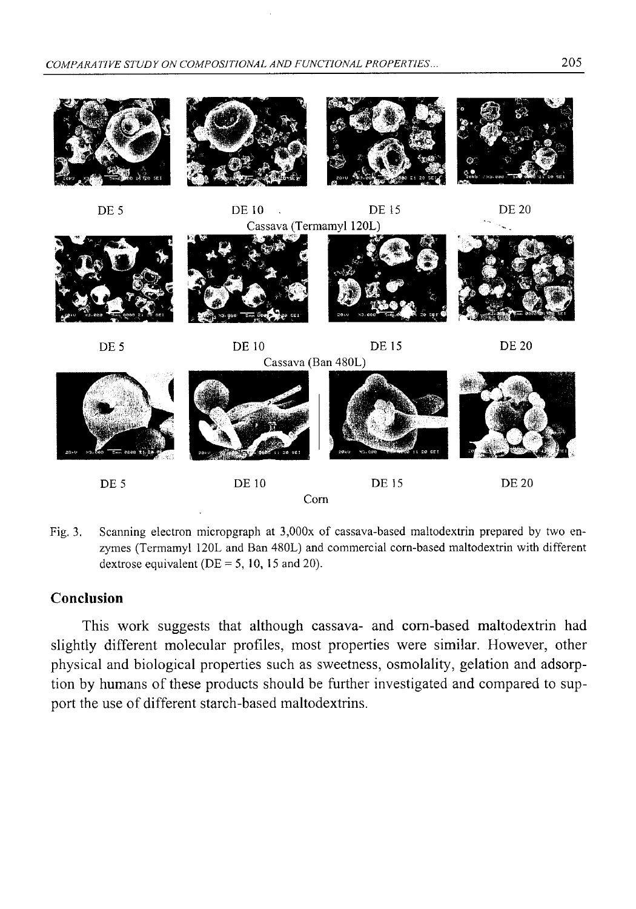

Fig. 3. Scanning electron micropgraph at 3,000x of cassava-based maltodextrin prepared by two enzymes (Termamyl 120L and Ban 480L) and commercial corn-based maltodextrin with different dextrose equivalent ( $DE = 5$ , 10, 15 and 20).

### **Conclusion**

This work suggests that although cassava- and corn-based maltodextrin had slightly different molecular profiles, most properties were similar. However, other physical and biological properties such as sweetness, osmolality, gelation and adsorption by humans of these products should be further investigated and compared to support the use of different starch-based maltodextrins.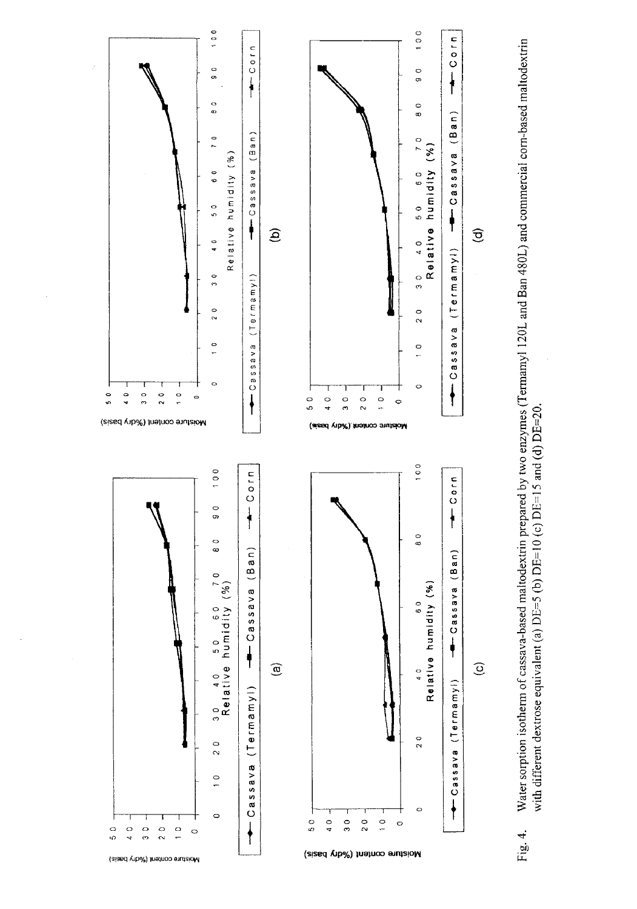

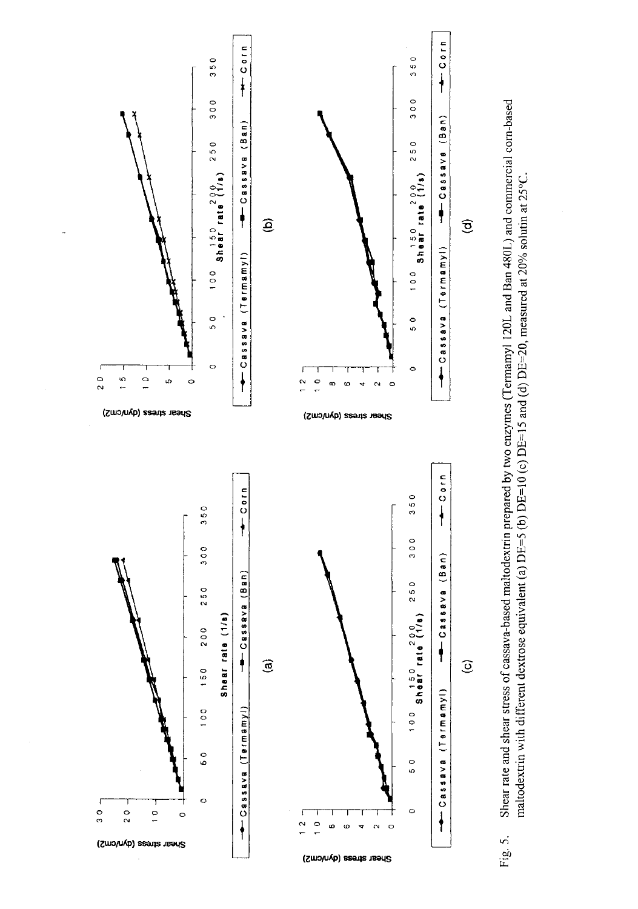

Shear rate and shear stress of cassava-based maltodextrin prepared by two enzymes (Termamyl 120L and Ban 480L) and commercial com-based maltodextrin with different dextrose equivalent (a)  $DE=5$  (b)  $DE=10$  (c)  $DE=15$  and (d)  $DE=20$ , measured at 20% solutin at 25°C. Fig. 5.